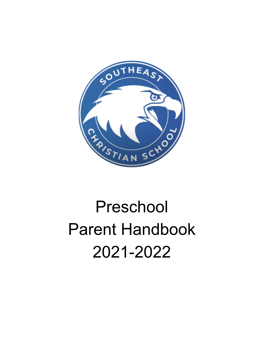

# Preschool Parent Handbook 2021-2022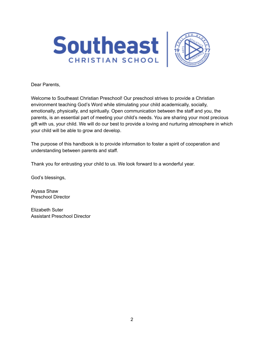



Dear Parents,

Welcome to Southeast Christian Preschool! Our preschool strives to provide a Christian environment teaching God's Word while stimulating your child academically, socially, emotionally, physically, and spiritually. Open communication between the staff and you, the parents, is an essential part of meeting your child's needs. You are sharing your most precious gift with us, your child. We will do our best to provide a loving and nurturing atmosphere in which your child will be able to grow and develop.

The purpose of this handbook is to provide information to foster a spirit of cooperation and understanding between parents and staff.

Thank you for entrusting your child to us. We look forward to a wonderful year.

God's blessings,

Alyssa Shaw Preschool Director

Elizabeth Suter Assistant Preschool Director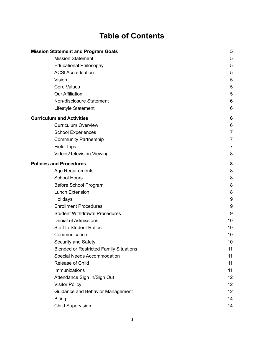## **Table of Contents**

| <b>Mission Statement and Program Goals</b>     | 5              |
|------------------------------------------------|----------------|
| <b>Mission Statement</b>                       | 5              |
| <b>Educational Philosophy</b>                  | 5              |
| <b>ACSI Accreditation</b>                      | 5              |
| Vision                                         | 5              |
| <b>Core Values</b>                             | 5              |
| <b>Our Affiliation</b>                         | 5              |
| Non-disclosure Statement                       | 6              |
| Lifestyle Statement                            | 6              |
| <b>Curriculum and Activities</b>               | 6              |
| <b>Curriculum Overview</b>                     | 6              |
| <b>School Experiences</b>                      | $\overline{7}$ |
| <b>Community Partnership</b>                   | 7              |
| <b>Field Trips</b>                             | 7              |
| Videos/Television Viewing                      | 8              |
| <b>Policies and Procedures</b>                 | 8              |
| <b>Age Requirements</b>                        | 8              |
| <b>School Hours</b>                            | 8              |
| Before School Program                          | 8              |
| <b>Lunch Extension</b>                         | 8              |
| Holidays                                       | 9              |
| <b>Enrollment Procedures</b>                   | 9              |
| <b>Student Withdrawal Procedures</b>           | 9              |
| <b>Denial of Admissions</b>                    | 10             |
| <b>Staff to Student Ratios</b>                 | 10             |
| Communication                                  | 10             |
| Security and Safety                            | 10             |
| <b>Blended or Restricted Family Situations</b> | 11             |
| <b>Special Needs Accommodation</b>             | 11             |
| Release of Child                               | 11             |
| Immunizations                                  | 11             |
| Attendance Sign In/Sign Out                    | 12             |
| <b>Visitor Policy</b>                          | 12             |
| <b>Guidance and Behavior Management</b>        | 12             |
| <b>Biting</b>                                  | 14             |
| <b>Child Supervision</b>                       | 14             |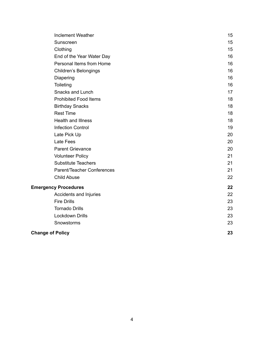| <b>Inclement Weather</b>          | 15 |
|-----------------------------------|----|
| Sunscreen                         | 15 |
| Clothing                          | 15 |
| End of the Year Water Day         | 16 |
| Personal Items from Home          | 16 |
| <b>Children's Belongings</b>      | 16 |
| Diapering                         | 16 |
| Toileting                         | 16 |
| Snacks and Lunch                  | 17 |
| <b>Prohibited Food Items</b>      | 18 |
| <b>Birthday Snacks</b>            | 18 |
| <b>Rest Time</b>                  | 18 |
| <b>Health and Illness</b>         | 18 |
| <b>Infection Control</b>          | 19 |
| Late Pick Up                      | 20 |
| Late Fees                         | 20 |
| <b>Parent Grievance</b>           | 20 |
| <b>Volunteer Policy</b>           | 21 |
| <b>Substitute Teachers</b>        | 21 |
| <b>Parent/Teacher Conferences</b> | 21 |
| <b>Child Abuse</b>                | 22 |
| <b>Emergency Procedures</b>       |    |
| Accidents and Injuries            | 22 |
| <b>Fire Drills</b>                | 23 |
| <b>Tornado Drills</b>             | 23 |
| Lockdown Drills                   | 23 |
| Snowstorms                        | 23 |
| <b>Change of Policy</b>           | 23 |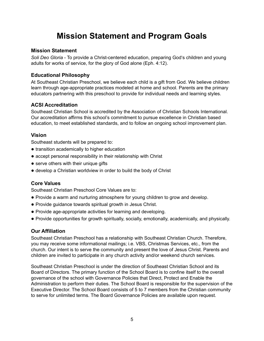## **Mission Statement and Program Goals**

#### <span id="page-4-1"></span><span id="page-4-0"></span>**Mission Statement**

*Soli Deo Gloria* - To provide a Christ-centered education, preparing God's children and young adults for works of service, for the glory of God alone (Eph. 4:12).

#### <span id="page-4-2"></span>**Educational Philosophy**

At Southeast Christian Preschool, we believe each child is a gift from God. We believe children learn through age-appropriate practices modeled at home and school. Parents are the primary educators partnering with this preschool to provide for individual needs and learning styles.

#### <span id="page-4-3"></span>**ACSI Accreditation**

Southeast Christian School is accredited by the Association of Christian Schools International. Our accreditation affirms this school's commitment to pursue excellence in Christian based education, to meet established standards, and to follow an ongoing school improvement plan.

#### <span id="page-4-4"></span>**Vision**

Southeast students will be prepared to:

- transition academically to higher education
- accept personal responsibility in their relationship with Christ
- serve others with their unique gifts
- develop a Christian worldview in order to build the body of Christ

#### <span id="page-4-5"></span>**Core Values**

Southeast Christian Preschool Core Values are to:

- Provide a warm and nurturing atmosphere for young children to grow and develop.
- Provide guidance towards spiritual growth in Jesus Christ.
- Provide age-appropriate activities for learning and developing.
- Provide opportunities for growth spiritually, socially, emotionally, academically, and physically.

#### <span id="page-4-6"></span>**Our Affiliation**

Southeast Christian Preschool has a relationship with Southeast Christian Church. Therefore, you may receive some informational mailings; i.e. VBS, Christmas Services, etc., from the church. Our intent is to serve the community and present the love of Jesus Christ. Parents and children are invited to participate in any church activity and/or weekend church services.

Southeast Christian Preschool is under the direction of Southeast Christian School and its Board of Directors. The primary function of the School Board is to confine itself to the overall governance of the school with Governance Policies that Direct, Protect and Enable the Administration to perform their duties. The School Board is responsible for the supervision of the Executive Director. The School Board consists of 5 to 7 members from the Christian community to serve for unlimited terms. The Board Governance Policies are available upon request.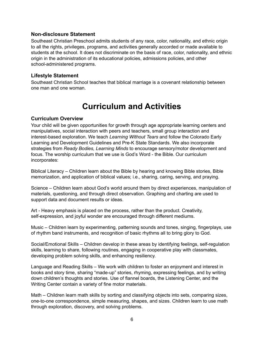#### <span id="page-5-0"></span>**Non-disclosure Statement**

Southeast Christian Preschool admits students of any race, color, nationality, and ethnic origin to all the rights, privileges, programs, and activities generally accorded or made available to students at the school. It does not discriminate on the basis of race, color, nationality, and ethnic origin in the administration of its educational policies, admissions policies, and other school-administered programs.

#### <span id="page-5-1"></span>**Lifestyle Statement**

<span id="page-5-2"></span>Southeast Christian School teaches that biblical marriage is a covenant relationship between one man and one woman.

## **Curriculum and Activities**

#### <span id="page-5-3"></span>**Curriculum Overview**

Your child will be given opportunities for growth through age appropriate learning centers and manipulatives, social interaction with peers and teachers, small group interaction and interest-based exploration. We teach *Learning Without Tears* and follow the Colorado Early Learning and Development Guidelines and Pre-K State Standards. We also incorporate strategies from *Ready Bodies, Learning Minds* to encourage sensory/motor development and focus. The worship curriculum that we use is God's Word - the Bible. Our curriculum incorporates:

Biblical Literacy – Children learn about the Bible by hearing and knowing Bible stories, Bible memorization, and application of biblical values; i.e., sharing, caring, serving, and praying.

Science – Children learn about God's world around them by direct experiences, manipulation of materials, questioning, and through direct observation. Graphing and charting are used to support data and document results or ideas.

Art - Heavy emphasis is placed on the process, rather than the product. Creativity, self-expression, and joyful wonder are encouraged through different mediums.

Music – Children learn by experimenting, patterning sounds and tones, singing, fingerplays, use of rhythm band instruments, and recognition of basic rhythms all to bring glory to God.

Social/Emotional Skills – Children develop in these areas by identifying feelings, self-regulation skills, learning to share, following routines, engaging in cooperative play with classmates, developing problem solving skills, and enhancing resiliency.

Language and Reading Skills – We work with children to foster an enjoyment and interest in books and story time, sharing "made-up" stories, rhyming, expressing feelings, and by writing down children's thoughts and stories. Use of flannel boards, the Listening Center, and the Writing Center contain a variety of fine motor materials.

Math – Children learn math skills by sorting and classifying objects into sets, comparing sizes, one-to-one correspondence, simple measuring, shapes, and sizes. Children learn to use math through exploration, discovery, and solving problems.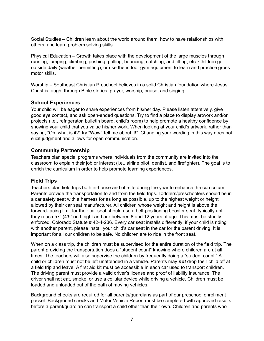Social Studies – Children learn about the world around them, how to have relationships with others, and learn problem solving skills.

Physical Education – Growth takes place with the development of the large muscles through running, jumping, climbing, pushing, pulling, bouncing, catching, and lifting, etc. Children go outside daily (weather permitting), or use the indoor gym equipment to learn and practice gross motor skills.

Worship – Southeast Christian Preschool believes in a solid Christian foundation where Jesus Christ is taught through Bible stories, prayer, worship, praise, and singing.

#### <span id="page-6-0"></span>**School Experiences**

Your child will be eager to share experiences from his/her day. Please listen attentively, give good eye contact, and ask open-ended questions. Try to find a place to display artwork and/or projects (i.e., refrigerator, bulletin board, child's room) to help promote a healthy confidence by showing your child that you value his/her work. When looking at your child's artwork, rather than saying, "Oh, what is it?" try "Wow! Tell me about it!". Changing your wording in this way does not elicit judgment and allows for open communication.

#### <span id="page-6-1"></span>**Community Partnership**

Teachers plan special programs where individuals from the community are invited into the classroom to explain their job or interest (i.e., airline pilot, dentist, and firefighter). The goal is to enrich the curriculum in order to help promote learning experiences.

#### <span id="page-6-2"></span>**Field Trips**

Teachers plan field trips both in-house and off-site during the year to enhance the curriculum. Parents provide the transportation to and from the field trips. Toddlers/preschoolers should be in a car safety seat with a harness for as long as possible, up to the highest weight or height allowed by their car seat manufacturer. All children whose weight and height is above the forward-facing limit for their car seat should use a belt-positioning booster seat, typically until they reach 57" (4'9") in height and are between 8 and 12 years of age. This must be strictly enforced. Colorado Statute # 42-4-236. Every car seat installs differently; if your child is riding with another parent, please install your child's car seat in the car for the parent driving. It is important for all our children to be safe. No children are to ride in the front seat.

When on a class trip, the children must be supervised for the entire duration of the field trip. The parent providing the transportation does a "student count" knowing where children are at **all** times. The teachers will also supervise the children by frequently doing a "student count." A child or children must not be left unattended in a vehicle. Parents may *not* drop their child off at a field trip and leave. A first aid kit must be accessible in each car used to transport children. The driving parent must provide a valid driver's license and proof of liability insurance. The driver shall not eat, smoke, or use a cellular device while driving a vehicle. Children must be loaded and unloaded out of the path of moving vehicles.

Background checks are required for all parents/guardians as part of our preschool enrollment packet. Background checks and Motor Vehicle Report must be completed with approved results before a parent/guardian can transport a child other than their own. Children and parents who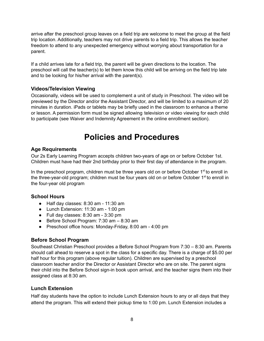arrive after the preschool group leaves on a field trip are welcome to meet the group at the field trip location. Additionally, teachers may not drive parents to a field trip. This allows the teacher freedom to attend to any unexpected emergency without worrying about transportation for a parent.

If a child arrives late for a field trip, the parent will be given directions to the location. The preschool will call the teacher(s) to let them know this child will be arriving on the field trip late and to be looking for his/her arrival with the parent(s).

#### <span id="page-7-0"></span>**Videos/Television Viewing**

Occasionally, videos will be used to complement a unit of study in Preschool. The video will be previewed by the Director and/or the Assistant Director, and will be limited to a maximum of 20 minutes in duration. iPads or tablets may be briefly used in the classroom to enhance a theme or lesson. A permission form must be signed allowing television or video viewing for each child to participate (see Waiver and Indemnity Agreement in the online enrollment section).

### **Policies and Procedures**

#### <span id="page-7-2"></span><span id="page-7-1"></span>**Age Requirements**

Our 2s Early Learning Program accepts children two-years of age on or before October 1st. Children must have had their 2nd birthday prior to their first day of attendance in the program.

In the preschool program, children must be three years old on or before October 1<sup>st</sup> to enroll in the three-year-old program; children must be four years old on or before October 1<sup>st</sup> to enroll in the four-year old program

#### <span id="page-7-3"></span>**School Hours**

- Half day classes: 8:30 am 11:30 am
- Lunch Extension: 11:30 am 1:00 pm
- $\bullet$  Full day classes: 8:30 am 3:30 pm
- Before School Program: 7:30 am 8:30 am
- Preschool office hours: Monday-Friday, 8:00 am 4:00 pm

#### <span id="page-7-4"></span>**Before School Program**

Southeast Christian Preschool provides a Before School Program from 7:30 – 8:30 am. Parents should call ahead to reserve a spot in the class for a specific day. There is a charge of \$5.00 per half hour for this program (above regular tuition). Children are supervised by a preschool classroom teacher and/or the Director or Assistant Director who are on site. The parent signs their child into the Before School sign-in book upon arrival, and the teacher signs them into their assigned class at 8:30 am.

#### <span id="page-7-5"></span>**Lunch Extension**

Half day students have the option to include Lunch Extension hours to any or all days that they attend the program. This will extend their pickup time to 1:00 pm. Lunch Extension includes a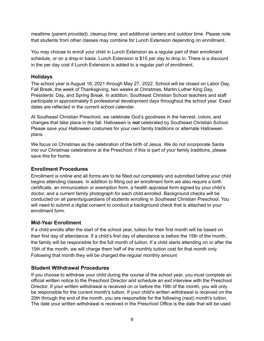mealtime (parent provided), cleanup time, and additional centers and outdoor time. Please note that students from other classes may combine for Lunch Extension depending on enrollment.

You may choose to enroll your child in Lunch Extension as a regular part of their enrollment schedule, or on a drop-in basis. Lunch Extension is \$15 per day to drop in. There is a discount in the per day cost if Lunch Extension is added to a regular part of enrollment.

#### <span id="page-8-0"></span>**Holidays**

The school year is August 16, 2021 through May 27, 2022. School will be closed on Labor Day, Fall Break, the week of Thanksgiving, two weeks at Christmas, Martin Luther King Day, Presidents' Day, and Spring Break. In addition, Southeast Christian School teachers and staff participate in approximately 5 professional development days throughout the school year. Exact dates are reflected in the current school calendar.

At Southeast Christian Preschool, we celebrate God's goodness in the harvest, colors, and changes that take place in the fall. Halloween is *not* celebrated by Southeast Christian School. Please save your Halloween costumes for your own family traditions or alternate Halloween plans.

We focus on Christmas as the celebration of the birth of Jesus. We do not incorporate Santa into our Christmas celebrations at the Preschool; if this is part of your family traditions, please save this for home.

#### <span id="page-8-1"></span>**Enrollment Procedures**

Enrollment is online and all forms are to be filled out completely and submitted before your child begins attending classes. In addition to filling out an enrollment form we also require a birth certificate, an immunization or exemption form, a health appraisal form signed by your child's doctor, and a current family photograph for each child enrolled. Background checks will be conducted on all parents/guardians of students enrolling in Southeast Christian Preschool. You will need to submit a digital consent to conduct a background check that is attached to your enrollment form.

#### **Mid-Year Enrollment**

If a child enrolls after the start of the school year, tuition for their first month will be based on their first day of attendance. If a child's first day of attendance is before the 15th of the month, the family will be responsible for the full month of tuition. If a child starts attending on or after the 15th of the month, we will charge them half of the monthly tuition cost for that month only. Following that month they will be charged the regular monthly amount

#### <span id="page-8-2"></span>**Student Withdrawal Procedures**

If you choose to withdraw your child during the course of the school year, you must complete an official written notice to the Preschool Director and schedule an exit interview with the Preschool Director. If your written withdrawal is received on or before the 19th of the month, you will only be responsible for the current month's tuition. If your child's written withdrawal is received on the 20th through the end of the month, you are responsible for the following (next) month's tuition. The date your written withdrawal is received in the Preschool Office is the date that will be used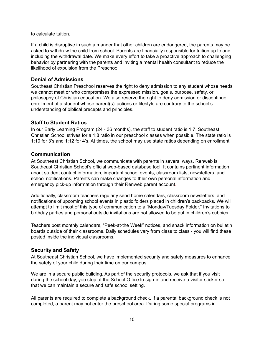to calculate tuition.

If a child is disruptive in such a manner that other children are endangered, the parents may be asked to withdraw the child from school. Parents are financially responsible for tuition up to and including the withdrawal date. We make every effort to take a proactive approach to challenging behavior by partnering with the parents and inviting a mental health consultant to reduce the likelihood of expulsion from the Preschool.

#### <span id="page-9-0"></span>**Denial of Admissions**

Southeast Christian Preschool reserves the right to deny admission to any student whose needs we cannot meet or who compromises the expressed mission, goals, purpose, safety, or philosophy of Christian education. We also reserve the right to deny admission or discontinue enrollment of a student whose parent(s)' actions or lifestyle are contrary to the school's understanding of biblical precepts and principles.

#### <span id="page-9-1"></span>**Staff to Student Ratios**

In our Early Learning Program (24 - 36 months), the staff to student ratio is 1:7. Southeast Christian School strives for a 1:8 ratio in our preschool classes when possible. The state ratio is 1:10 for 3's and 1:12 for 4's. At times, the school may use state ratios depending on enrollment.

#### <span id="page-9-2"></span>**Communication**

At Southeast Christian School, we communicate with parents in several ways. Renweb is Southeast Christian School's official web-based database tool. It contains pertinent information about student contact information, important school events, classroom lists, newsletters, and school notifications. Parents can make changes to their own personal information and emergency pick-up information through their Renweb parent account.

Additionally, classroom teachers regularly send home calendars, classroom newsletters, and notifications of upcoming school events in plastic folders placed in children's backpacks. We will attempt to limit most of this type of communication to a "Monday/Tuesday Folder." Invitations to birthday parties and personal outside invitations are not allowed to be put in children's cubbies.

Teachers post monthly calendars, "Peek-at-the Week" notices, and snack information on bulletin boards outside of their classrooms. Daily schedules vary from class to class - you will find these posted inside the individual classrooms.

#### <span id="page-9-3"></span>**Security and Safety**

At Southeast Christian School, we have implemented security and safety measures to enhance the safety of your child during their time on our campus.

We are in a secure public building. As part of the security protocols, we ask that if you visit during the school day, you stop at the School Office to sign-in and receive a visitor sticker so that we can maintain a secure and safe school setting.

All parents are required to complete a background check. If a parental background check is not completed, a parent may not enter the preschool area. During some special programs in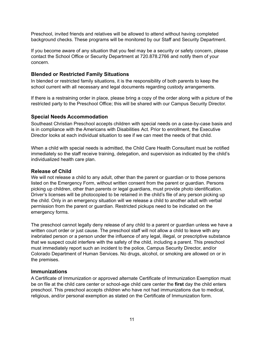Preschool, invited friends and relatives will be allowed to attend without having completed background checks. These programs will be monitored by our Staff and Security Department.

If you become aware of any situation that you feel may be a security or safety concern, please contact the School Office or Security Department at 720.878.2766 and notify them of your concern.

#### <span id="page-10-0"></span>**Blended or Restricted Family Situations**

In blended or restricted family situations, it is the responsibility of both parents to keep the school current with all necessary and legal documents regarding custody arrangements.

If there is a restraining order in place, please bring a copy of the order along with a picture of the restricted party to the Preschool Office; this will be shared with our Campus Security Director.

#### <span id="page-10-1"></span>**Special Needs Accommodation**

Southeast Christian Preschool accepts children with special needs on a case-by-case basis and is in compliance with the Americans with Disabilities Act. Prior to enrollment, the Executive Director looks at each individual situation to see if we can meet the needs of that child.

When a child with special needs is admitted, the Child Care Health Consultant must be notified immediately so the staff receive training, delegation, and supervision as indicated by the child's individualized health care plan.

#### <span id="page-10-2"></span>**Release of Child**

We will not release a child to any adult, other than the parent or guardian or to those persons listed on the Emergency Form, without written consent from the parent or guardian. Persons picking up children, other than parents or legal guardians, must provide photo identification. Driver's licenses will be photocopied to be retained in the child's file of any person picking up the child. Only in an emergency situation will we release a child to another adult with verbal permission from the parent or guardian. Restricted pickups need to be indicated on the emergency forms.

The preschool cannot legally deny release of any child to a parent or guardian unless we have a written court order or just cause. The preschool staff will not allow a child to leave with any inebriated person or a person under the influence of any legal, illegal, or prescriptive substance that we suspect could interfere with the safety of the child, including a parent. This preschool must immediately report such an incident to the police, Campus Security Director, and/or Colorado Department of Human Services. No drugs, alcohol, or smoking are allowed on or in the premises.

#### <span id="page-10-3"></span>**Immunizations**

A Certificate of Immunization or approved alternate Certificate of Immunization Exemption must be on file at the child care center or school-age child care center the **first** day the child enters preschool. This preschool accepts children who have not had immunizations due to medical, religious, and/or personal exemption as stated on the Certificate of Immunization form.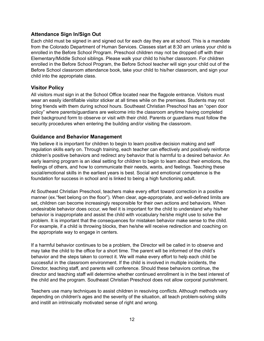#### <span id="page-11-0"></span>**Attendance Sign In/Sign Out**

Each child must be signed in and signed out for each day they are at school. This is a mandate from the Colorado Department of Human Services. Classes start at 8:30 am unless your child is enrolled in the Before School Program. Preschool children may not be dropped off with their Elementary/Middle School siblings. Please walk your child to his/her classroom. For children enrolled in the Before School Program, the Before School teacher will sign your child out of the Before School classroom attendance book, take your child to his/her classroom, and sign your child into the appropriate class.

#### <span id="page-11-1"></span>**Visitor Policy**

All visitors must sign in at the School Office located near the flagpole entrance. Visitors must wear an easily identifiable visitor sticker at all times while on the premises. Students may not bring friends with them during school hours. Southeast Christian Preschool has an "open door policy" where parents/guardians are welcome into the classroom anytime having completed their background form to observe or visit with their child. Parents or guardians must follow the security procedures when entering the building and/or visiting the classroom.

#### <span id="page-11-2"></span>**Guidance and Behavior Management**

We believe it is important for children to begin to learn positive decision making and self regulation skills early on. Through training, each teacher can effectively and positively reinforce children's positive behaviors and redirect any behavior that is harmful to a desired behavior. An early learning program is an ideal setting for children to begin to learn about their emotions, the feelings of others, and how to communicate their needs, wants, and feelings. Teaching these social/emotional skills in the earliest years is best. Social and emotional competence is the foundation for success in school and is linked to being a high functioning adult.

At Southeast Christian Preschool, teachers make every effort toward correction in a positive manner (ex."feet belong on the floor"). When clear, age-appropriate, and well-defined limits are set, children can become increasingly responsible for their own actions and behaviors. When undesirable behavior does occur, we feel it is important for the child to understand why his/her behavior is inappropriate and assist the child with vocabulary he/she might use to solve the problem. It is important that the consequences for mistaken behavior make sense to the child. For example, if a child is throwing blocks, then he/she will receive redirection and coaching on the appropriate way to engage in centers.

If a harmful behavior continues to be a problem, the Director will be called in to observe and may take the child to the office for a short time. The parent will be informed of the child's behavior and the steps taken to correct it. We will make every effort to help each child be successful in the classroom environment. If the child is involved in multiple incidents, the Director, teaching staff, and parents will conference. Should these behaviors continue, the director and teaching staff will determine whether continued enrollment is in the best interest of the child and the program. Southeast Christian Preschool does not allow corporal punishment.

Teachers use many techniques to assist children in resolving conflicts. Although methods vary depending on children's ages and the severity of the situation, all teach problem-solving skills and instill an intrinsically motivated sense of right and wrong.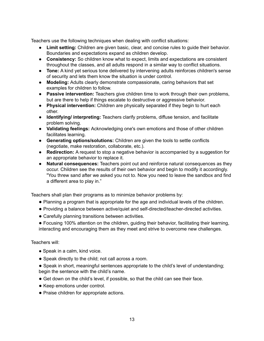Teachers use the following techniques when dealing with conflict situations:

- **Limit setting:** Children are given basic, clear, and concise rules to guide their behavior. Boundaries and expectations expand as children develop.
- **Consistency:** So children know what to expect, limits and expectations are consistent throughout the classes, and all adults respond in a similar way to conflict situations.
- **Tone:** A kind yet serious tone delivered by intervening adults reinforces children's sense of security and lets them know the situation is under control.
- **Modeling:** Adults clearly demonstrate compassionate, caring behaviors that set examples for children to follow.
- **Passive intervention:** Teachers give children time to work through their own problems, but are there to help if things escalate to destructive or aggressive behavior.
- **Physical intervention:** Children are physically separated if they begin to hurt each other.
- **Identifying/ interpreting:** Teachers clarify problems, diffuse tension, and facilitate problem solving.
- **Validating feelings:** Acknowledging one's own emotions and those of other children facilitates learning.
- **Generating options/solutions:** Children are given the tools to settle conflicts (negotiate, make restoration, collaborate, etc.).
- **Redirection:** A request to stop a negative behavior is accompanied by a suggestion for an appropriate behavior to replace it.
- **Natural consequences:** Teachers point out and reinforce natural consequences as they occur. Children see the results of their own behavior and begin to modify it accordingly. "You threw sand after we asked you not to. Now you need to leave the sandbox and find a different area to play in."

Teachers shall plan their programs as to minimize behavior problems by:

- Planning a program that is appropriate for the age and individual levels of the children.
- Providing a balance between active/quiet and self-directed/teacher-directed activities.
- Carefully planning transitions between activities.
- Focusing 100% attention on the children, guiding their behavior, facilitating their learning, interacting and encouraging them as they meet and strive to overcome new challenges.

Teachers will:

- Speak in a calm, kind voice.
- Speak directly to the child; not call across a room.
- Speak in short, meaningful sentences appropriate to the child's level of understanding; begin the sentence with the child's name.
- Get down on the child's level, if possible, so that the child can see their face.
- Keep emotions under control.
- Praise children for appropriate actions.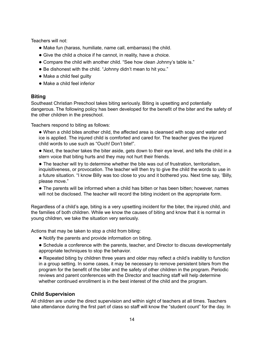Teachers will not:

- Make fun (harass, humiliate, name call, embarrass) the child.
- Give the child a choice if he cannot, in reality, have a choice.
- Compare the child with another child. "See how clean Johnny's table is."
- Be dishonest with the child. "Johnny didn't mean to hit you."
- Make a child feel quilty
- Make a child feel inferior

#### <span id="page-13-0"></span>**Biting**

Southeast Christian Preschool takes biting seriously. Biting is upsetting and potentially dangerous. The following policy has been developed for the benefit of the biter and the safety of the other children in the preschool.

Teachers respond to biting as follows:

● When a child bites another child, the affected area is cleansed with soap and water and ice is applied. The injured child is comforted and cared for. The teacher gives the injured child words to use such as "Ouch! Don't bite!".

● Next, the teacher takes the biter aside, gets down to their eye level, and tells the child in a stern voice that biting hurts and they may not hurt their friends.

● The teacher will try to determine whether the bite was out of frustration, territorialism, inquisitiveness, or provocation. The teacher will then try to give the child the words to use in a future situation. "I know Billy was too close to you and it bothered you. Next time say, 'Billy, please move."

• The parents will be informed when a child has bitten or has been bitten; however, names will not be disclosed. The teacher will record the biting incident on the appropriate form.

Regardless of a child's age, biting is a very upsetting incident for the biter, the injured child, and the families of both children. While we know the causes of biting and know that it is normal in young children, we take the situation very seriously.

Actions that may be taken to stop a child from biting:

- Notify the parents and provide information on biting.
- Schedule a conference with the parents, teacher, and Director to discuss developmentally appropriate techniques to stop the behavior.

• Repeated biting by children three years and older may reflect a child's inability to function in a group setting. In some cases, it may be necessary to remove persistent biters from the program for the benefit of the biter and the safety of other children in the program. Periodic reviews and parent conferences with the Director and teaching staff will help determine whether continued enrollment is in the best interest of the child and the program.

#### <span id="page-13-1"></span>**Child Supervision**

All children are under the direct supervision and within sight of teachers at all times. Teachers take attendance during the first part of class so staff will know the "student count" for the day. In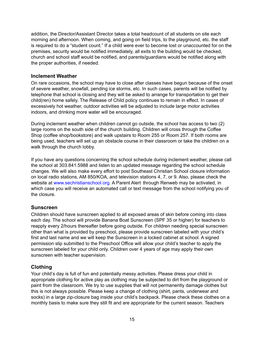addition, the Director/Assistant Director takes a total headcount of all students on site each morning and afternoon. When coming, and going on field trips, to the playground, etc. the staff is required to do a "student count." If a child were ever to become lost or unaccounted for on the premises, security would be notified immediately, all exits to the building would be checked, church and school staff would be notified, and parents/guardians would be notified along with the proper authorities, if needed.

#### <span id="page-14-0"></span>**Inclement Weather**

On rare occasions, the school may have to close after classes have begun because of the onset of severe weather, snowfall, pending ice storms, etc. In such cases, parents will be notified by telephone that school is closing and they will be asked to arrange for transportation to get their child(ren) home safely. The Release of Child policy continues to remain in effect. In cases of excessively hot weather, outdoor activities will be adjusted to include large motor activities indoors, and drinking more water will be encouraged.

During inclement weather when children cannot go outside, the school has access to two (2) large rooms on the south side of the church building. Children will cross through the Coffee Shop (coffee shop/bookstore) and walk upstairs to Room 255 or Room 257. If both rooms are being used, teachers will set up an obstacle course in their classroom or take the children on a walk through the church lobby.

If you have any questions concerning the school schedule during inclement weather, please call the school at 303.841.5988 and listen to an updated message regarding the school schedule changes. We will also make every effort to post Southeast Christian School closure information on local radio stations, AM 850/KOA, and television stations 4, 7, or 9. Also, please check the website at www.sechristianschool.org. A Parent Alert through Renweb may be activated, in which case you will receive an automated call or text message from the school notifying you of the closure.

#### <span id="page-14-1"></span>**Sunscreen**

Children should have sunscreen applied to all exposed areas of skin before coming into class each day. The school will provide Banana Boat Sunscreen (SPF 35 or higher) for teachers to reapply every 2/hours thereafter before going outside. For children needing special sunscreen other than what is provided by preschool, please provide sunscreen labeled with your child's first and last name and we will keep the Sunscreen in a locked cabinet at school. A signed permission slip submitted to the Preschool Office will allow your child's teacher to apply the sunscreen labeled for your child only. Children over 4 years of age may apply their own sunscreen with teacher supervision.

#### <span id="page-14-2"></span>**Clothing**

Your child's day is full of fun and potentially messy activities. Please dress your child in appropriate clothing for active play as clothing may be subjected to dirt from the playground or paint from the classroom. We try to use supplies that will not permanently damage clothes but this is not always possible. Please keep a change of clothing (shirt, pants, underwear and socks) in a large zip-closure bag inside your child's backpack. Please check these clothes on a monthly basis to make sure they still fit and are appropriate for the current season. Teachers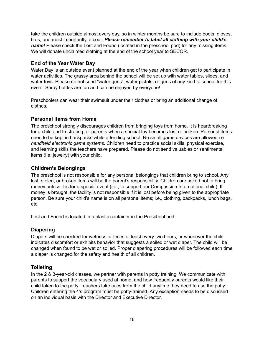take the children outside almost every day, so in winter months be sure to include boots, gloves, hats, and most importantly, a coat. *Please remember to label all clothing with your child's name!* Please check the Lost and Found (located in the preschool pod) for any missing items. We will donate unclaimed clothing at the end of the school year to SECOR.

#### <span id="page-15-0"></span>**End of the Year Water Day**

Water Day is an outside event planned at the end of the year when children get to participate in water activities. The grassy area behind the school will be set up with water tables, slides, and water toys. Please do not send "water guns", water pistols, or guns of any kind to school for this event. Spray bottles are fun and can be enjoyed by everyone!

Preschoolers can wear their swimsuit under their clothes or bring an additional change of clothes.

#### <span id="page-15-1"></span>**Personal Items from Home**

The preschool strongly discourages children from bringing toys from home. It is heartbreaking for a child and frustrating for parents when a special toy becomes lost or broken. Personal items need to be kept in backpacks while attending school. No small game devices are allowed i.e *handheld electronic game systems.* Children need to practice social skills, physical exercise, and learning skills the teachers have prepared. Please do not send valuables or sentimental items (i.e. jewelry) with your child.

#### <span id="page-15-2"></span>**Children's Belongings**

The preschool is not responsible for any personal belongings that children bring to school. Any lost, stolen, or broken items will be the parent's responsibility. Children are asked not to bring money unless it is for a special event (i.e., to support our Compassion International child). If money is brought, the facility is not responsible if it is lost before being given to the appropriate person. Be sure your child's name is on all personal items; i.e., clothing, backpacks, lunch bags, etc.

Lost and Found is located in a plastic container in the Preschool pod.

#### <span id="page-15-3"></span>**Diapering**

Diapers will be checked for wetness or feces at least every two hours, or whenever the child indicates discomfort or exhibits behavior that suggests a soiled or wet diaper. The child will be changed when found to be wet or soiled. Proper diapering procedures will be followed each time a diaper is changed for the safety and health of all children.

#### <span id="page-15-4"></span>**Toileting**

In the 2 & 3-year-old classes, we partner with parents in potty training. We communicate with parents to support the vocabulary used at home, and how frequently parents would like their child taken to the potty. Teachers take cues from the child anytime they need to use the potty. Children entering the 4's program must be potty-trained. Any exception needs to be discussed on an individual basis with the Director and Executive Director.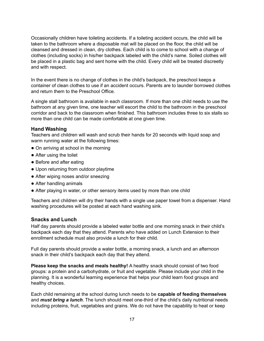Occasionally children have toileting accidents. If a toileting accident occurs, the child will be taken to the bathroom where a disposable mat will be placed on the floor, the child will be cleansed and dressed in clean, dry clothes. Each child is to come to school with a change of clothes (including socks) in his/her backpack labeled with the child's name. Soiled clothes will be placed in a plastic bag and sent home with the child. Every child will be treated discreetly and with respect.

In the event there is no change of clothes in the child's backpack, the preschool keeps a container of clean clothes to use if an accident occurs. Parents are to launder borrowed clothes and return them to the Preschool Office.

A single stall bathroom is available in each classroom. If more than one child needs to use the bathroom at any given time, one teacher will escort the child to the bathroom in the preschool corridor and back to the classroom when finished. This bathroom includes three to six stalls so more than one child can be made comfortable at one given time.

#### **Hand Washing**

Teachers and children will wash and scrub their hands for 20 seconds with liquid soap and warm running water at the following times:

- On arriving at school in the morning
- After using the toilet
- Before and after eating
- Upon returning from outdoor playtime
- After wiping noses and/or sneezing
- After handling animals
- After playing in water, or other sensory items used by more than one child

Teachers and children will dry their hands with a single use paper towel from a dispenser. Hand washing procedures will be posted at each hand washing sink.

#### <span id="page-16-0"></span>**Snacks and Lunch**

Half day parents should provide a labeled water bottle and one morning snack in their child's backpack each day that they attend. Parents who have added on Lunch Extension to their enrollment schedule must also provide a lunch for their child.

Full day parents should provide a water bottle, a morning snack, a lunch and an afternoon snack in their child's backpack each day that they attend.

**Please keep the snacks and meals healthy!** A healthy snack should consist of two food groups: a protein and a carbohydrate, or fruit and vegetable. Please include your child in the planning. It is a wonderful learning experience that helps your child learn food groups and healthy choices.

Each child remaining at the school during lunch needs to be **capable of feeding themselves** and *must bring a lunch*. The lunch should meet one-third of the child's daily nutritional needs including proteins, fruit, vegetables and grains. We do not have the capability to heat or keep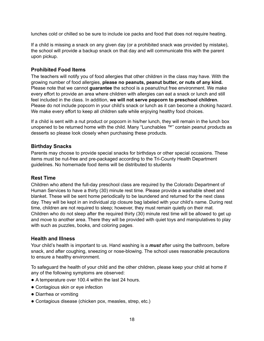lunches cold or chilled so be sure to include ice packs and food that does not require heating.

If a child is missing a snack on any given day (or a prohibited snack was provided by mistake), the school will provide a backup snack on that day and will communicate this with the parent upon pickup.

#### <span id="page-17-0"></span>**Prohibited Food Items**

The teachers will notify you of food allergies that other children in the class may have. With the growing number of food allergies, **please no peanuts, peanut butter, or nuts of any kind.** Please note that we cannot **guarantee** the school is a peanut/nut free environment. We make every effort to provide an area where children with allergies can eat a snack or lunch and still feel included in the class. In addition, **we will not serve popcorn to preschool children**. Please do not include popcorn in your child's snack or lunch as it can become a choking hazard. We make every effort to keep all children safe while enjoying healthy food choices.

If a child is sent with a nut product or popcorn in his/her lunch, they will remain in the lunch box unopened to be returned home with the child. Many "Lunchables ™" contain peanut products as desserts so please look closely when purchasing these products.

#### <span id="page-17-1"></span>**Birthday Snacks**

Parents may choose to provide special snacks for birthdays or other special occasions. These items must be nut-free and pre-packaged according to the Tri-County Health Department guidelines. No homemade food items will be distributed to students

#### <span id="page-17-2"></span>**Rest Time**

Children who attend the full-day preschool class are required by the Colorado Department of Human Services to have a thirty (30) minute rest time. Please provide a washable sheet and blanket. These will be sent home periodically to be laundered and returned for the next class day. They will be kept in an individual zip closure bag labeled with your child's name. During rest time, children are not required to sleep; however, they must remain quietly on their mat. Children who do not sleep after the required thirty (30) minute rest time will be allowed to get up and move to another area. There they will be provided with quiet toys and manipulatives to play with such as puzzles, books, and coloring pages.

#### <span id="page-17-3"></span>**Health and Illness**

Your child's health is important to us. Hand washing is a *must* after using the bathroom, before snack, and after coughing, sneezing or nose-blowing. The school uses reasonable precautions to ensure a healthy environment.

To safeguard the health of your child and the other children, please keep your child at home if any of the following symptoms are observed:

- A temperature over 100.4 within the last 24 hours.
- Contagious skin or eye infection
- Diarrhea or vomiting
- Contagious disease (chicken pox, measles, strep, etc.)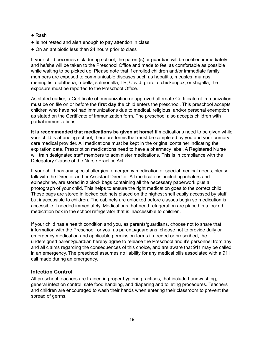- Rash
- Is not rested and alert enough to pay attention in class
- On an antibiotic less than 24 hours prior to class

If your child becomes sick during school, the parent(s) or guardian will be notified immediately and he/she will be taken to the Preschool Office and made to feel as comfortable as possible while waiting to be picked up. Please note that if enrolled children and/or immediate family members are exposed to communicable diseases such as hepatitis, measles, mumps, meningitis, diphtheria, rubella, salmonella, TB, Covid, giardia, chickenpox, or shigella, the exposure must be reported to the Preschool Office.

As stated earlier, a Certificate of Immunization or approved alternate Certificate of Immunization must be on file on or before the **first day** the child enters the preschool. This preschool accepts children who have not had immunizations due to medical, religious, and/or personal exemption as stated on the Certificate of Immunization form. The preschool also accepts children with partial immunizations.

**It is recommended that medications be given at home!** If medications need to be given while your child is attending school, there are forms that must be completed by you and your primary care medical provider. All medications must be kept in the original container indicating the expiration date. Prescription medications need to have a pharmacy label. A Registered Nurse will train designated staff members to administer medications. This is in compliance with the Delegatory Clause of the Nurse Practice Act.

If your child has any special allergies, emergency medication or special medical needs, please talk with the Director and or Assistant Director. All medications, including inhalers and epinephrine, are stored in ziplock bags containing all the necessary paperwork plus a photograph of your child. This helps to ensure the right medication goes to the correct child. These bags are stored in locked cabinets placed on the highest shelf easily accessed by staff but inaccessible to children. The cabinets are unlocked before classes begin so medication is accessible if needed immediately. Medications that need refrigeration are placed in a locked medication box in the school refrigerator that is inaccessible to children.

If your child has a health condition and you, as parents/guardians, choose not to share that information with the Preschool, or you, as parents/guardians, choose not to provide daily or emergency medication and applicable permission forms if needed or prescribed, the undersigned parent/guardian hereby agree to release the Preschool and it's personnel from any and all claims regarding the consequences of this choice, and are aware that **911** may be called in an emergency. The preschool assumes no liability for any medical bills associated with a 911 call made during an emergency.

#### <span id="page-18-0"></span>**Infection Control**

All preschool teachers are trained in proper hygiene practices, that include handwashing, general infection control, safe food handling, and diapering and toileting procedures. Teachers and children are encouraged to wash their hands when entering their classroom to prevent the spread of germs.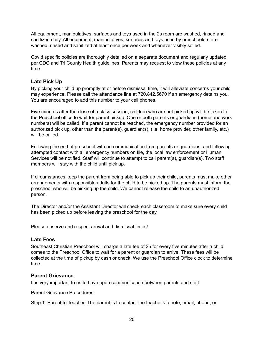All equipment, manipulatives, surfaces and toys used in the 2s room are washed, rinsed and sanitized daily. All equipment, manipulatives, surfaces and toys used by preschoolers are washed, rinsed and sanitized at least once per week and whenever visibly soiled.

Covid specific policies are thoroughly detailed on a separate document and regularly updated per CDC and Tri County Health guidelines. Parents may request to view these policies at any time.

#### <span id="page-19-0"></span>**Late Pick Up**

By picking your child up promptly at or before dismissal time, it will alleviate concerns your child may experience. Please call the attendance line at 720.842.5670 if an emergency detains you. You are encouraged to add this number to your cell phones.

Five minutes after the close of a class session, children who are not picked up will be taken to the Preschool office to wait for parent pickup. One or both parents or guardians (home and work numbers) will be called. If a parent cannot be reached, the emergency number provided for an authorized pick up, other than the parent(s), guardian(s), (i.e. home provider, other family, etc.) will be called.

Following the end of preschool with no communication from parents or guardians, and following attempted contact with all emergency numbers on file, the local law enforcement or Human Services will be notified. Staff will continue to attempt to call parent(s), guardian(s). Two staff members will stay with the child until pick up.

If circumstances keep the parent from being able to pick up their child, parents must make other arrangements with responsible adults for the child to be picked up. The parents must inform the preschool who will be picking up the child. We cannot release the child to an unauthorized person.

The Director and/or the Assistant Director will check each classroom to make sure every child has been picked up before leaving the preschool for the day.

<span id="page-19-1"></span>Please observe and respect arrival and dismissal times!

#### **Late Fees**

Southeast Christian Preschool will charge a late fee of \$5 for every five minutes after a child comes to the Preschool Office to wait for a parent or guardian to arrive. These fees will be collected at the time of pickup by cash or check. We use the Preschool Office clock to determine time.

#### <span id="page-19-2"></span>**Parent Grievance**

It is very important to us to have open communication between parents and staff.

Parent Grievance Procedures:

Step 1: Parent to Teacher: The parent is to contact the teacher via note, email, phone, or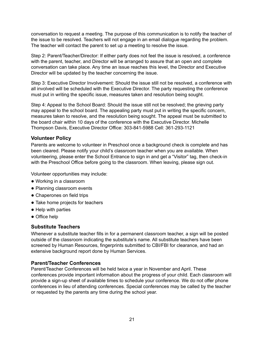conversation to request a meeting. The purpose of this communication is to notify the teacher of the issue to be resolved. Teachers will not engage in an email dialogue regarding the problem. The teacher will contact the parent to set up a meeting to resolve the issue.

Step 2: Parent/Teacher/Director: If either party does not feel the issue is resolved, a conference with the parent, teacher, and Director will be arranged to assure that an open and complete conversation can take place. Any time an issue reaches this level, the Director and Executive Director will be updated by the teacher concerning the issue.

Step 3: Executive Director Involvement: Should the issue still not be resolved, a conference with all involved will be scheduled with the Executive Director. The party requesting the conference must put in writing the specific issue, measures taken and resolution being sought.

Step 4: Appeal to the School Board: Should the issue still not be resolved; the grieving party may appeal to the school board. The appealing party must put in writing the specific concern, measures taken to resolve, and the resolution being sought. The appeal must be submitted to the board chair within 10 days of the conference with the Executive Director. Michelle Thompson Davis, Executive Director Office: 303-841-5988 Cell: 361-293-1121

#### <span id="page-20-0"></span>**Volunteer Policy**

Parents are welcome to volunteer in Preschool once a background check is complete and has been cleared. Please notify your child's classroom teacher when you are available. When volunteering, please enter the School Entrance to sign in and get a "Visitor" tag, then check-in with the Preschool Office before going to the classroom. When leaving, please sign out.

Volunteer opportunities may include:

- Working in a classroom
- Planning classroom events
- Chaperones on field trips
- Take home projects for teachers
- Help with parties
- Office help

#### <span id="page-20-1"></span>**Substitute Teachers**

Whenever a substitute teacher fills in for a permanent classroom teacher, a sign will be posted outside of the classroom indicating the substitute's name. All substitute teachers have been screened by Human Resources, fingerprints submitted to CBI/FBI for clearance, and had an extensive background report done by Human Services.

#### <span id="page-20-2"></span>**Parent/Teacher Conferences**

Parent/Teacher Conferences will be held twice a year in November and April. These conferences provide important information about the progress of your child. Each classroom will provide a sign-up sheet of available times to schedule your conference. We do not offer phone conferences in lieu of attending conferences. Special conferences may be called by the teacher or requested by the parents any time during the school year.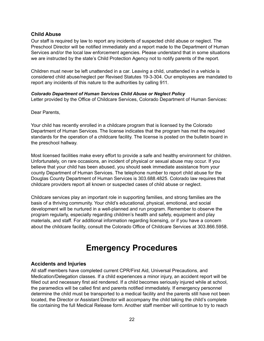#### <span id="page-21-0"></span>**Child Abuse**

Our staff is required by law to report any incidents of suspected child abuse or neglect. The Preschool Director will be notified immediately and a report made to the Department of Human Services and/or the local law enforcement agencies. Please understand that in some situations we are instructed by the state's Child Protection Agency not to notify parents of the report.

Children must never be left unattended in a car. Leaving a child, unattended in a vehicle is considered child abuse/neglect per Revised Statutes 19-3-304. Our employees are mandated to report any incidents of this nature to the authorities by calling 911.

#### *Colorado Department of Human Services Child Abuse or Neglect Policy*

Letter provided by the Office of Childcare Services, Colorado Department of Human Services:

Dear Parents,

Your child has recently enrolled in a childcare program that is licensed by the Colorado Department of Human Services. The license indicates that the program has met the required standards for the operation of a childcare facility. The license is posted on the bulletin board in the preschool hallway.

Most licensed facilities make every effort to provide a safe and healthy environment for children. Unfortunately, on rare occasions, an incident of physical or sexual abuse may occur. If you believe that your child has been abused, you should seek immediate assistance from your county Department of Human Services. The telephone number to report child abuse for the Douglas County Department of Human Services is 303.688.4825. Colorado law requires that childcare providers report all known or suspected cases of child abuse or neglect.

Childcare services play an important role in supporting families, and strong families are the basis of a thriving community. Your child's educational, physical, emotional, and social development will be nurtured in a well-planned and run program. Remember to observe the program regularly, especially regarding children's health and safety, equipment and play materials, and staff. For additional information regarding licensing, or if you have a concern about the childcare facility, consult the Colorado Office of Childcare Services at 303.866.5958.

## **Emergency Procedures**

#### <span id="page-21-2"></span><span id="page-21-1"></span>**Accidents and Injuries**

All staff members have completed current CPR/First Aid, Universal Precautions, and Medication/Delegation classes. If a child experiences a minor injury, an accident report will be filled out and necessary first aid rendered. If a child becomes seriously injured while at school, the paramedics will be called first and parents notified immediately. If emergency personnel determine the child must be transported to a medical facility and the parents still have not been located, the Director or Assistant Director will accompany the child taking the child's complete file containing the full Medical Release form. Another staff member will continue to try to reach